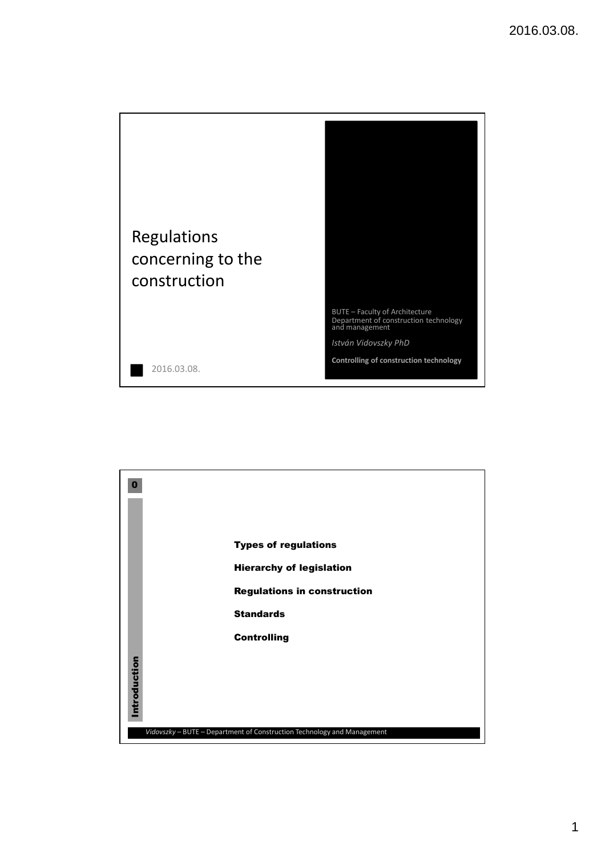

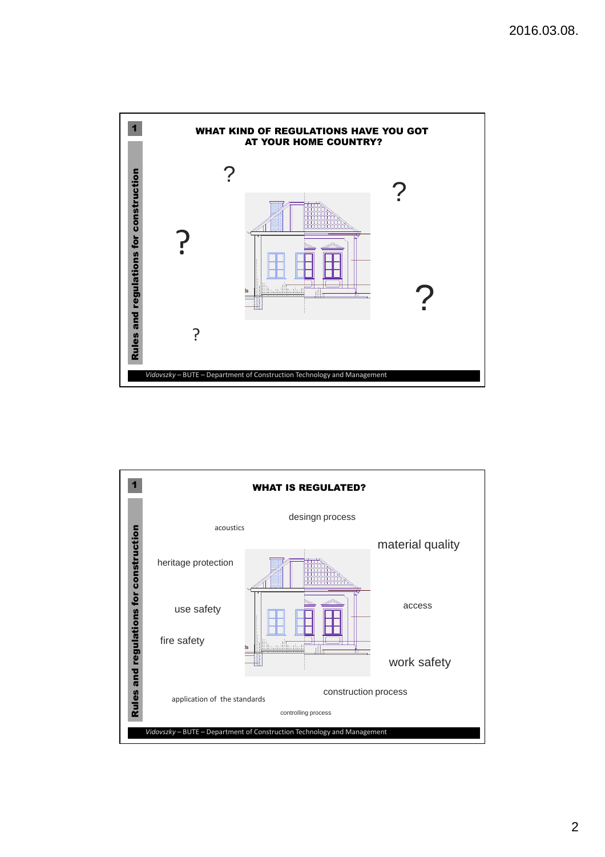

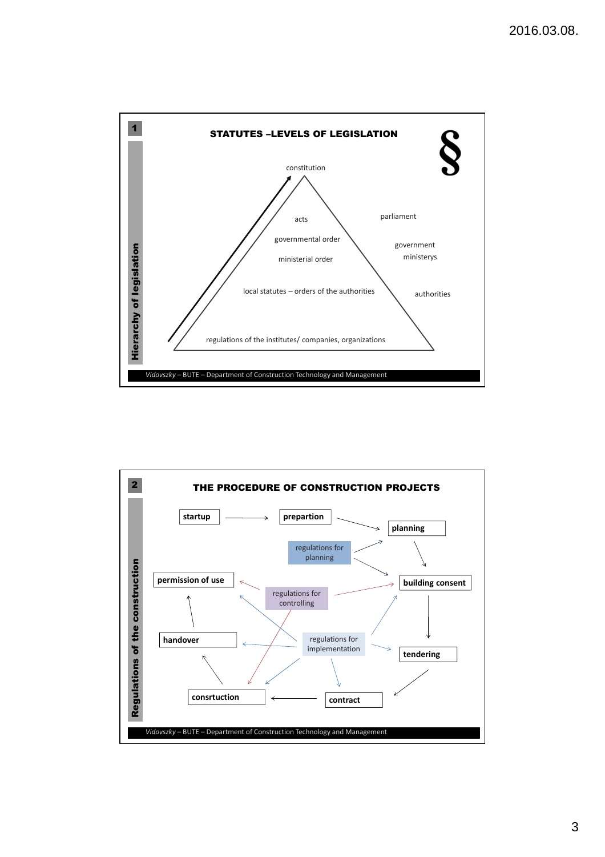

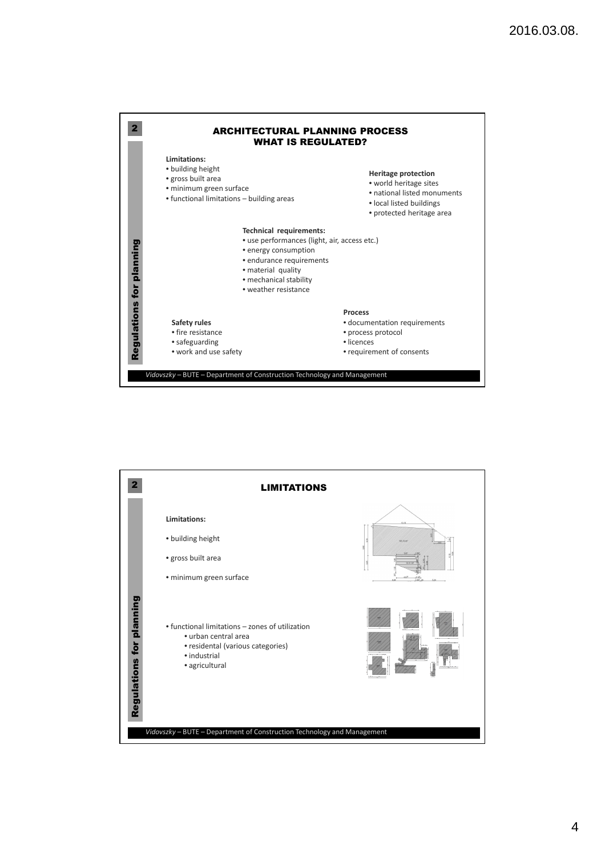

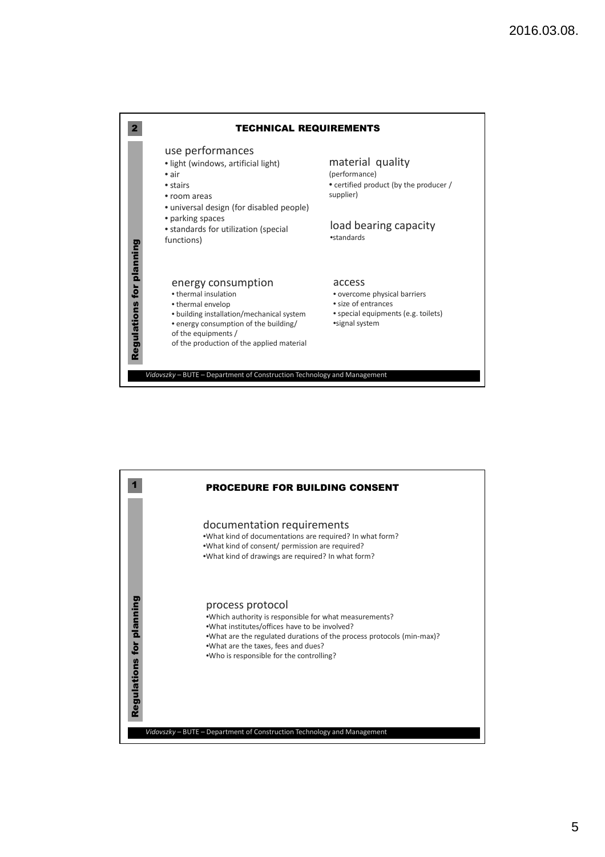

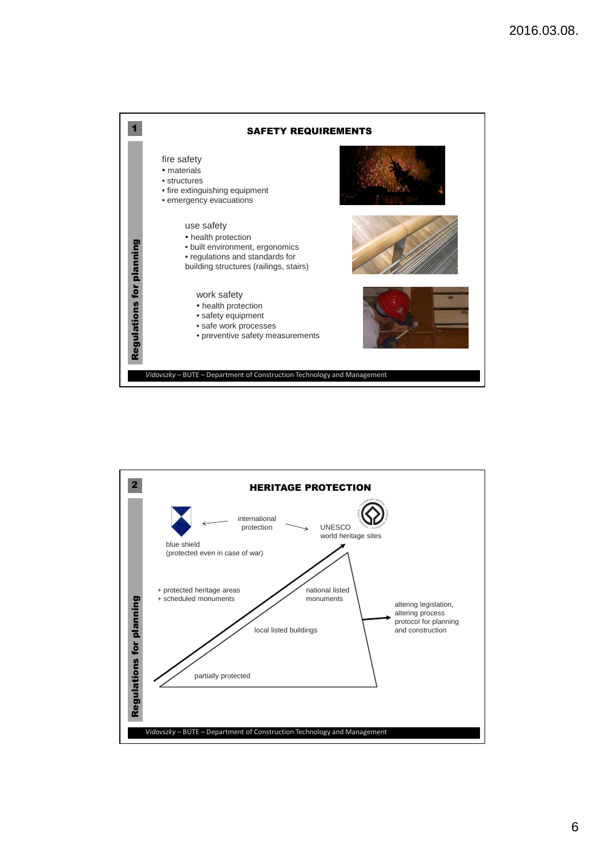

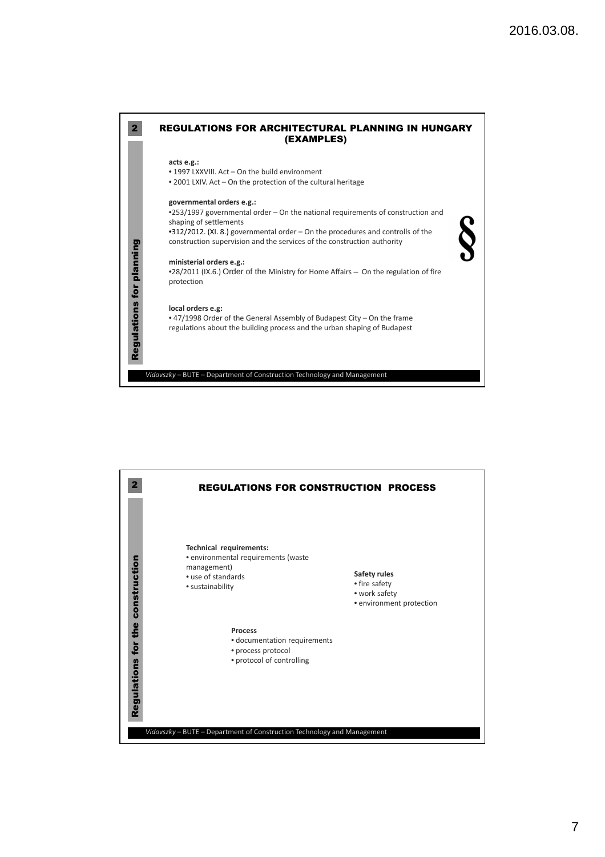

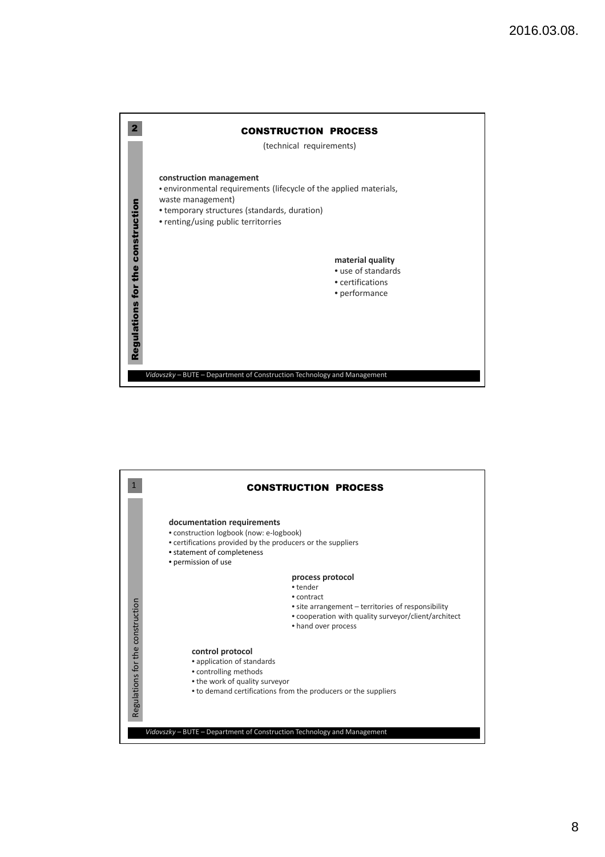

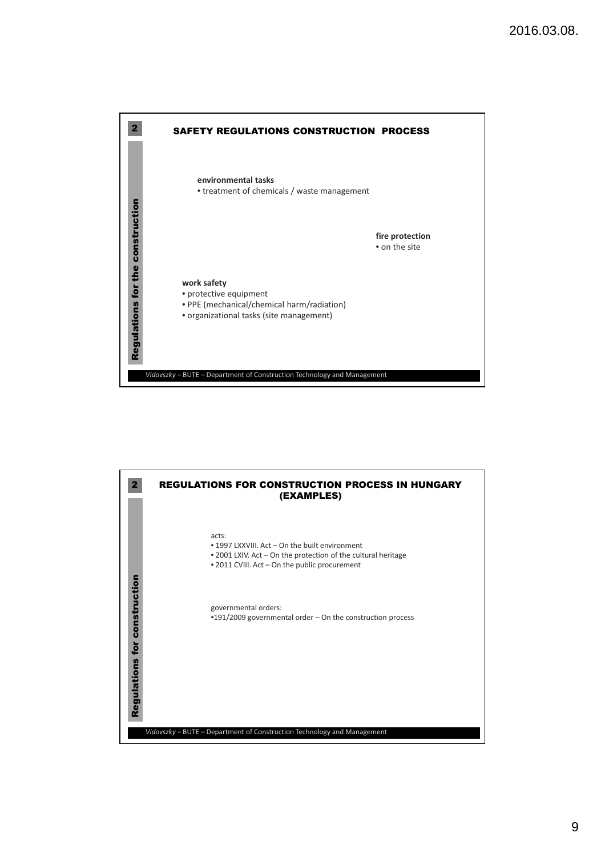

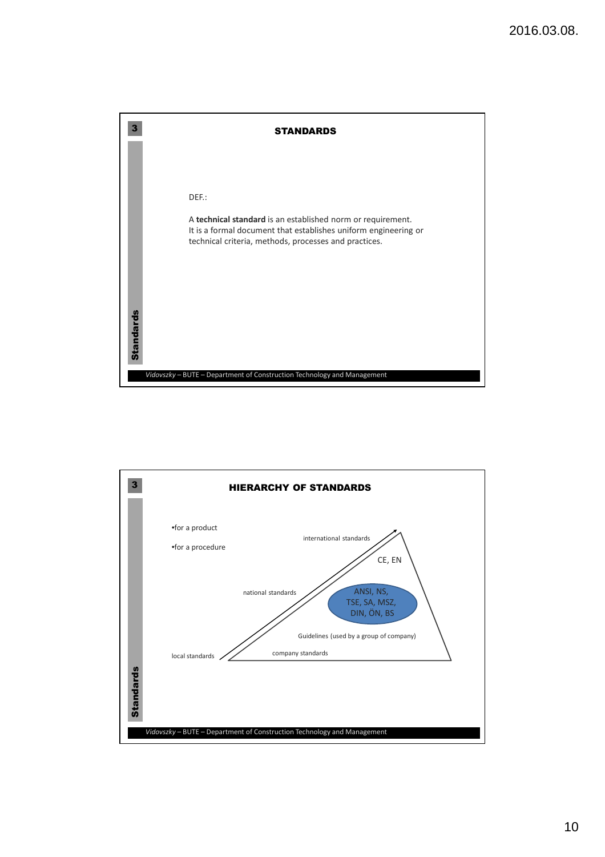

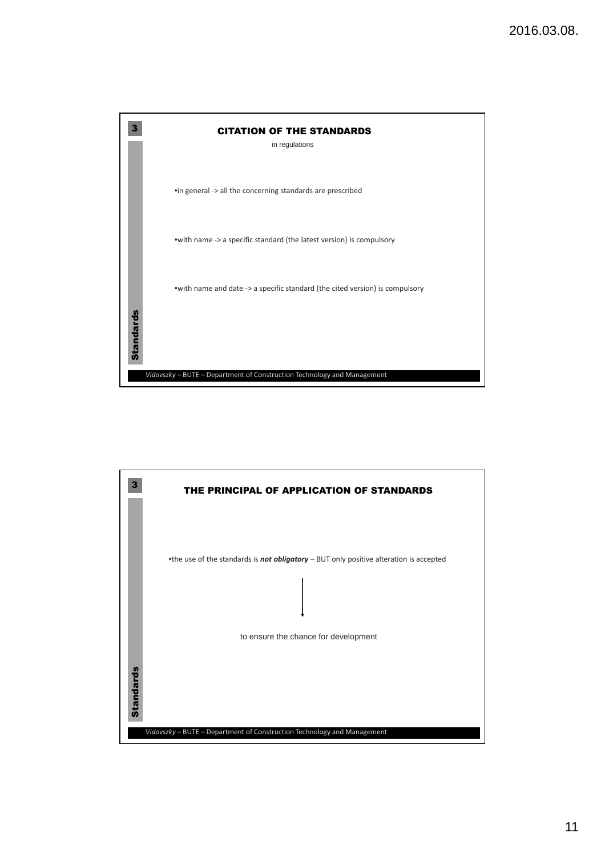

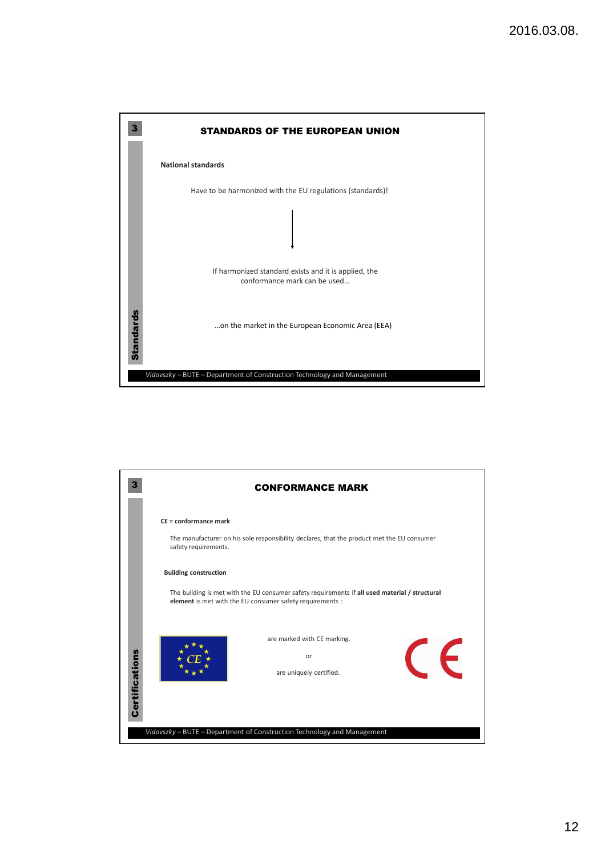

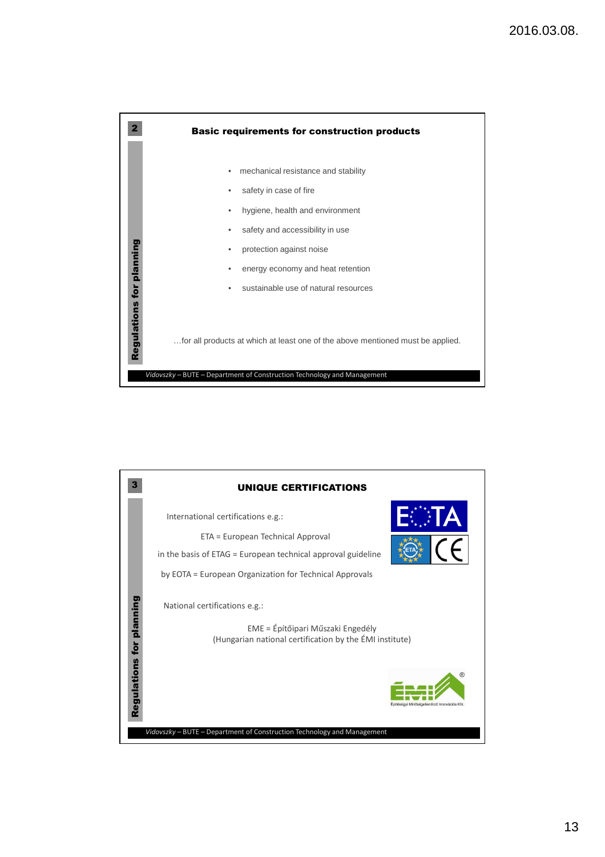

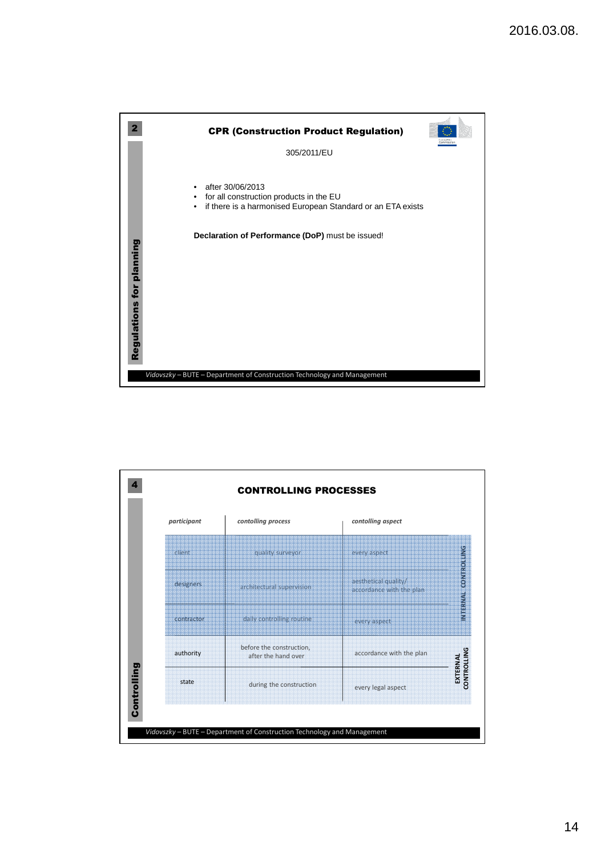

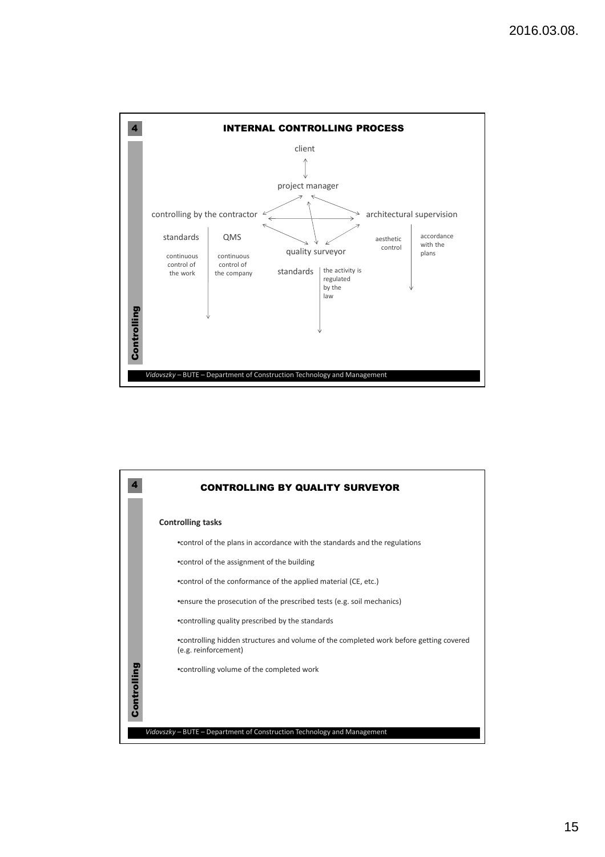

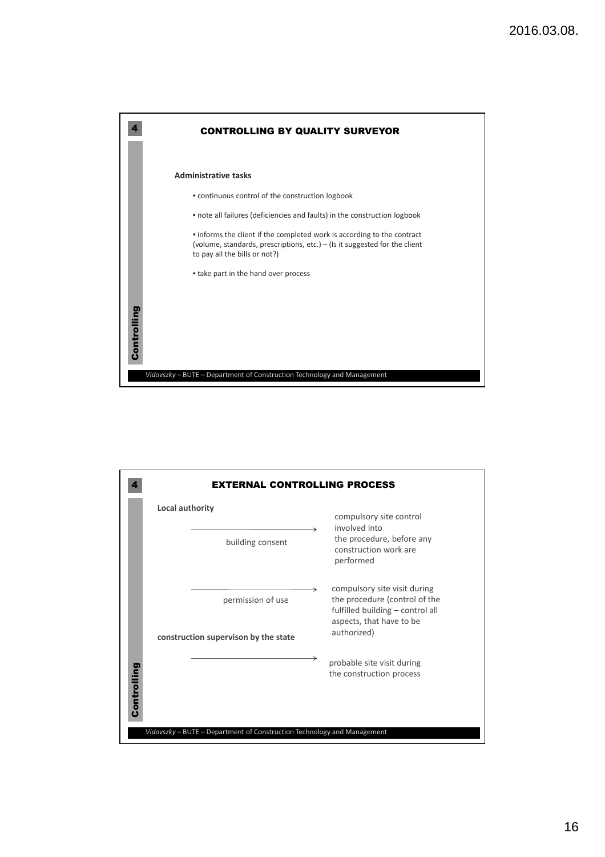

| <b>EXTERNAL CONTROLLING PROCESS</b>                                     |                                                                                                                               |  |
|-------------------------------------------------------------------------|-------------------------------------------------------------------------------------------------------------------------------|--|
| Local authority                                                         | compulsory site control<br>involved into                                                                                      |  |
| building consent                                                        | the procedure, before any<br>construction work are<br>performed                                                               |  |
| permission of use                                                       | compulsory site visit during<br>the procedure (control of the<br>fulfilled building - control all<br>aspects, that have to be |  |
| construction supervison by the state                                    | authorized)                                                                                                                   |  |
| Controlling                                                             | probable site visit during<br>the construction process                                                                        |  |
| Vidovszky - BUTE - Department of Construction Technology and Management |                                                                                                                               |  |